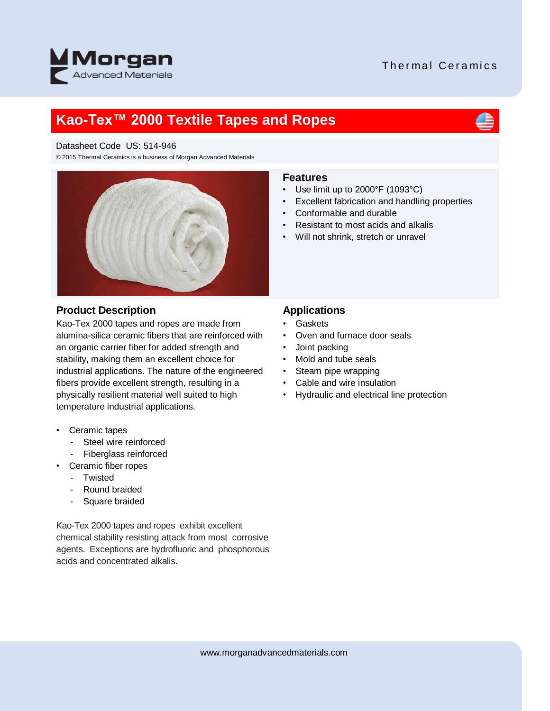### Thermal Ceramics



## **Kao-Tex™ 2000 Textile Tapes and Ropes**



© 2015 Thermal Ceramics is a business of Morgan Advanced Materials



#### **Product Description**

Kao-Tex 2000 tapes and ropes are made from alumina-silica ceramic fibers that are reinforced with an organic carrier fiber for added strength and stability, making them an excellent choice for industrial applications. The nature of the engineered fibers provide excellent strength, resulting in a physically resilient material well suited to high temperature industrial applications.

- Ceramic tapes
	- Steel wire reinforced
	- Fiberglass reinforced
- Ceramic fiber ropes
	- Twisted
	- Round braided
	- Square braided

Kao-Tex 2000 tapes and ropes exhibit excellent chemical stability resisting attack from most corrosive agents. Exceptions are hydrofluoric and phosphorous acids and concentrated alkalis.

#### **Features**

- Use limit up to 2000°F (1093°C)
- Excellent fabrication and handling properties
- Conformable and durable
- Resistant to most acids and alkalis
- Will not shrink, stretch or unravel

#### **Applications**

- Gaskets
- Oven and furnace door seals
- Joint packing
- Mold and tube seals
- Steam pipe wrapping
- Cable and wire insulation
- Hydraulic and electrical line protection